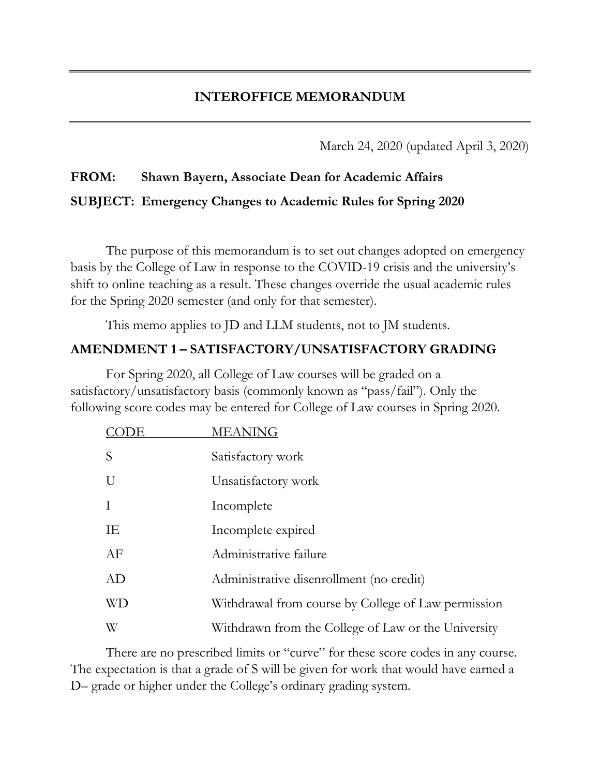March 24, 2020 (updated April 3, 2020)

# **FROM: Shawn Bayern, Associate Dean for Academic Affairs SUBJECT: Emergency Changes to Academic Rules for Spring 2020**

The purpose of this memorandum is to set out changes adopted on emergency basis by the College of Law in response to the COVID-19 crisis and the university's shift to online teaching as a result. These changes override the usual academic rules for the Spring 2020 semester (and only for that semester).

This memo applies to JD and LLM students, not to JM students.

#### **AMENDMENT 1 – SATISFACTORY/UNSATISFACTORY GRADING**

For Spring 2020, all College of Law courses will be graded on a satisfactory/unsatisfactory basis (commonly known as "pass/fail"). Only the following score codes may be entered for College of Law courses in Spring 2020.

| DЕ        | <b>MEANING</b>                                      |
|-----------|-----------------------------------------------------|
| S         | Satisfactory work                                   |
| U         | Unsatisfactory work                                 |
| $\bf{I}$  | Incomplete                                          |
| ΙE        | Incomplete expired                                  |
| AF        | Administrative failure                              |
| AD        | Administrative disenrollment (no credit)            |
| <b>WD</b> | Withdrawal from course by College of Law permission |
| W         | Withdrawn from the College of Law or the University |

There are no prescribed limits or "curve" for these score codes in any course. The expectation is that a grade of S will be given for work that would have earned a D– grade or higher under the College's ordinary grading system.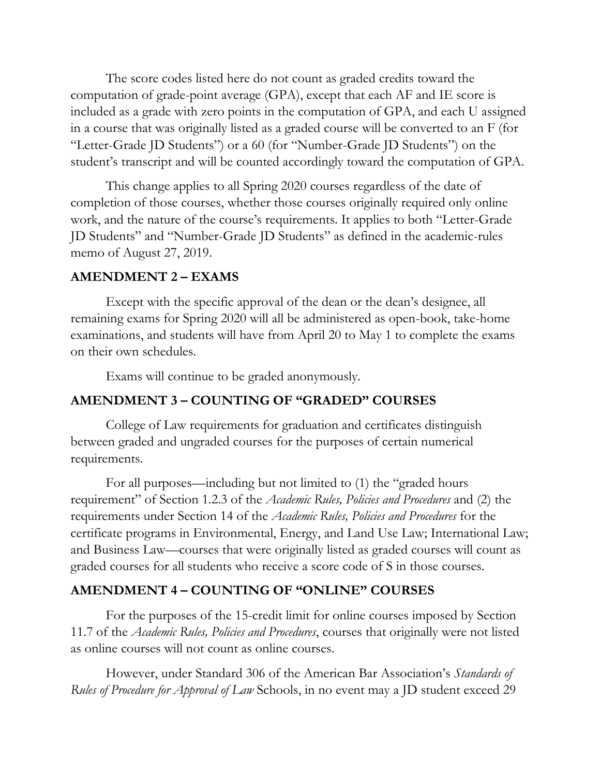The score codes listed here do not count as graded credits toward the computation of grade-point average (GPA), except that each AF and IE score is included as a grade with zero points in the computation of GPA, and each U assigned in a course that was originally listed as a graded course will be converted to an F (for "Letter-Grade JD Students") or a 60 (for "Number-Grade JD Students") on the student's transcript and will be counted accordingly toward the computation of GPA.

This change applies to all Spring 2020 courses regardless of the date of completion of those courses, whether those courses originally required only online work, and the nature of the course's requirements. It applies to both "Letter-Grade JD Students" and "Number-Grade JD Students" as defined in the academic-rules memo of August 27, 2019.

#### **AMENDMENT 2 – EXAMS**

Except with the specific approval of the dean or the dean's designee, all remaining exams for Spring 2020 will all be administered as open-book, take-home examinations, and students will have from April 20 to May 1 to complete the exams on their own schedules.

Exams will continue to be graded anonymously.

# **AMENDMENT 3 – COUNTING OF "GRADED" COURSES**

College of Law requirements for graduation and certificates distinguish between graded and ungraded courses for the purposes of certain numerical requirements.

For all purposes—including but not limited to (1) the "graded hours requirement" of Section 1.2.3 of the *Academic Rules, Policies and Procedures* and (2) the requirements under Section 14 of the *Academic Rules, Policies and Procedures* for the certificate programs in Environmental, Energy, and Land Use Law; International Law; and Business Law—courses that were originally listed as graded courses will count as graded courses for all students who receive a score code of S in those courses.

# **AMENDMENT 4 – COUNTING OF "ONLINE" COURSES**

For the purposes of the 15-credit limit for online courses imposed by Section 11.7 of the *Academic Rules, Policies and Procedures*, courses that originally were not listed as online courses will not count as online courses.

However, under Standard 306 of the American Bar Association's *Standards of Rules of Procedure for Approval of Law* Schools, in no event may a JD student exceed 29